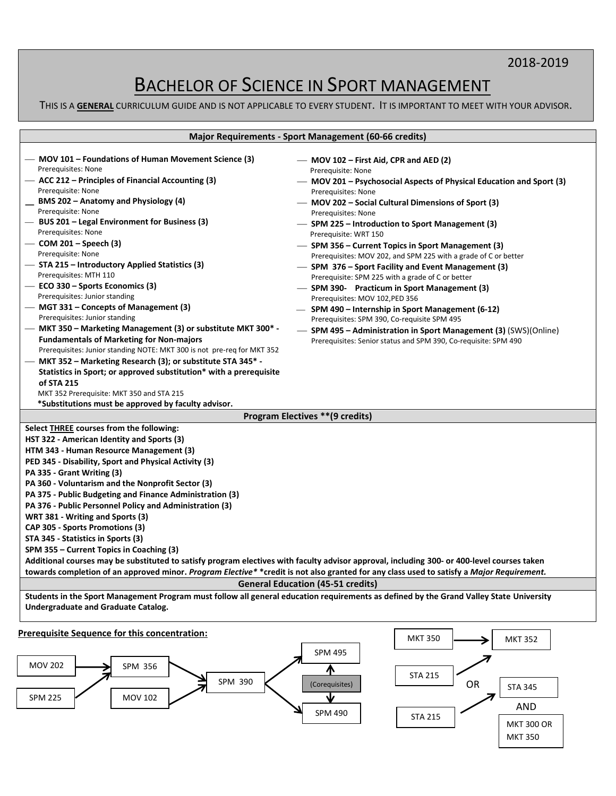## 2018-2019

# BACHELOR OF SCIENCE IN SPORT MANAGEMENT

THIS IS A **GENERAL** CURRICULUM GUIDE AND IS NOT APPLICABLE TO EVERY STUDENT. IT IS IMPORTANT TO MEET WITH YOUR ADVISOR.

| <b>Major Requirements - Sport Management (60-66 credits)</b>                                                                                                                                                                                                                                                                                                                                                                                                                                                                                                                                                                                                                                                                                                                                                                                                                                                                                                                                   |                                                                                                                                                                                                                                                                                                                                                                                                                                                                                                                                                                                                                                                                                                                                                                                                                                                                                            |  |  |
|------------------------------------------------------------------------------------------------------------------------------------------------------------------------------------------------------------------------------------------------------------------------------------------------------------------------------------------------------------------------------------------------------------------------------------------------------------------------------------------------------------------------------------------------------------------------------------------------------------------------------------------------------------------------------------------------------------------------------------------------------------------------------------------------------------------------------------------------------------------------------------------------------------------------------------------------------------------------------------------------|--------------------------------------------------------------------------------------------------------------------------------------------------------------------------------------------------------------------------------------------------------------------------------------------------------------------------------------------------------------------------------------------------------------------------------------------------------------------------------------------------------------------------------------------------------------------------------------------------------------------------------------------------------------------------------------------------------------------------------------------------------------------------------------------------------------------------------------------------------------------------------------------|--|--|
| - MOV 101 – Foundations of Human Movement Science (3)<br>Prerequisites: None<br>- ACC 212 - Principles of Financial Accounting (3)<br>Prerequisite: None<br>BMS 202 - Anatomy and Physiology (4)<br>Prerequisite: None<br>- BUS 201 - Legal Environment for Business (3)<br>Prerequisites: None<br>— COM 201 – Speech $(3)$<br>Prerequisite: None<br>- STA 215 – Introductory Applied Statistics (3)<br>Prerequisites: MTH 110<br>$-$ ECO 330 – Sports Economics (3)<br>Prerequisites: Junior standing<br>- MGT 331 – Concepts of Management (3)<br>Prerequisites: Junior standing<br>- MKT 350 – Marketing Management (3) or substitute MKT 300* -<br><b>Fundamentals of Marketing for Non-majors</b><br>Prerequisites: Junior standing NOTE: MKT 300 is not pre-req for MKT 352<br>— MKT 352 – Marketing Research (3); or substitute STA 345 <sup>*</sup> -<br>Statistics in Sport; or approved substitution* with a prerequisite<br>of STA 215<br>MKT 352 Prerequisite: MKT 350 and STA 215 | - MOV 102 - First Aid, CPR and AED (2)<br>Prerequisite: None<br>— MOV 201 – Psychosocial Aspects of Physical Education and Sport (3)<br>Prerequisites: None<br>- MOV 202 - Social Cultural Dimensions of Sport (3)<br>Prerequisites: None<br>- SPM 225 – Introduction to Sport Management (3)<br>Prerequisite: WRT 150<br>- SPM 356 – Current Topics in Sport Management (3)<br>Prerequisites: MOV 202, and SPM 225 with a grade of C or better<br>- SPM 376 – Sport Facility and Event Management (3)<br>Prerequisite: SPM 225 with a grade of C or better<br>- SPM 390- Practicum in Sport Management (3)<br>Prerequisites: MOV 102, PED 356<br>- SPM 490 – Internship in Sport Management (6-12)<br>Prerequisites: SPM 390, Co-requisite SPM 495<br>- SPM 495 - Administration in Sport Management (3) (SWS)(Online)<br>Prerequisites: Senior status and SPM 390, Co-requisite: SPM 490 |  |  |
| *Substitutions must be approved by faculty advisor.                                                                                                                                                                                                                                                                                                                                                                                                                                                                                                                                                                                                                                                                                                                                                                                                                                                                                                                                            | Program Electives ** (9 credits)                                                                                                                                                                                                                                                                                                                                                                                                                                                                                                                                                                                                                                                                                                                                                                                                                                                           |  |  |
| Select THREE courses from the following:<br>HST 322 - American Identity and Sports (3)<br>HTM 343 - Human Resource Management (3)<br>PED 345 - Disability, Sport and Physical Activity (3)<br>PA 335 - Grant Writing (3)<br>PA 360 - Voluntarism and the Nonprofit Sector (3)<br>PA 375 - Public Budgeting and Finance Administration (3)<br>PA 376 - Public Personnel Policy and Administration (3)<br>WRT 381 - Writing and Sports (3)<br>CAP 305 - Sports Promotions (3)<br>STA 345 - Statistics in Sports (3)<br>SPM 355 – Current Topics in Coaching (3)<br>Additional courses may be substituted to satisfy program electives with faculty advisor approval, including 300- or 400-level courses taken<br>towards completion of an approved minor. Program Elective* *credit is not also granted for any class used to satisfy a Major Requirement.                                                                                                                                      | <b>General Education (45-51 credits)</b>                                                                                                                                                                                                                                                                                                                                                                                                                                                                                                                                                                                                                                                                                                                                                                                                                                                   |  |  |
| Students in the Sport Management Program must follow all general education requirements as defined by the Grand Valley State University<br>Undergraduate and Graduate Catalog.                                                                                                                                                                                                                                                                                                                                                                                                                                                                                                                                                                                                                                                                                                                                                                                                                 |                                                                                                                                                                                                                                                                                                                                                                                                                                                                                                                                                                                                                                                                                                                                                                                                                                                                                            |  |  |